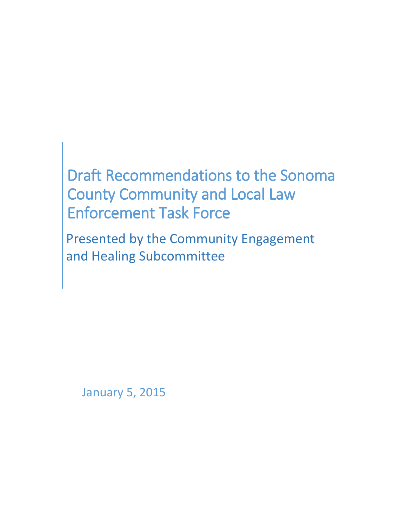# Draft Recommendations to the Sonoma County Community and Local Law Enforcement Task Force

Presented by the Community Engagement and Healing Subcommittee

January 5, 2015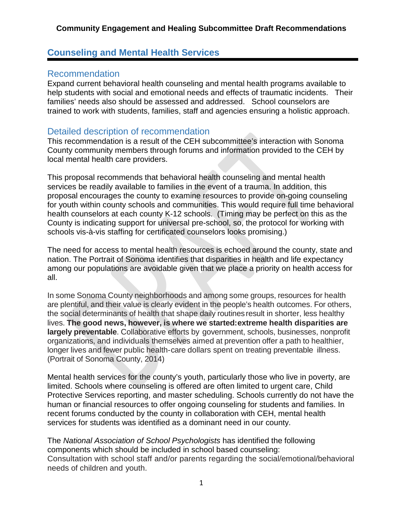### **Counseling and Mental Health Services**

### Recommendation

Expand current behavioral health counseling and mental health programs available to help students with social and emotional needs and effects of traumatic incidents. Their families' needs also should be assessed and addressed. School counselors are trained to work with students, families, staff and agencies ensuring a holistic approach.

### Detailed description of recommendation

This recommendation is a result of the CEH subcommittee's interaction with Sonoma County community members through forums and information provided to the CEH by local mental health care providers.

This proposal recommends that behavioral health counseling and mental health services be readily available to families in the event of a trauma. In addition, this proposal encourages the county to examine resources to provide on-going counseling for youth within county schools and communities. This would require full time behavioral health counselors at each county K-12 schools. (Timing may be perfect on this as the County is indicating support for universal pre-school, so, the protocol for working with schools vis-à-vis staffing for certificated counselors looks promising.)

The need for access to mental health resources is echoed around the county, state and nation. The Portrait of Sonoma identifies that disparities in health and life expectancy among our populations are avoidable given that we place a priority on health access for all.

In some Sonoma County neighborhoods and among some groups, resources for health are plentiful, and their value is clearly evident in the people's health outcomes. For others, the social determinants of health that shape daily routines result in shorter, less healthy lives. **The good news, however, is where we started:extreme health disparities are largely preventable**. Collaborative efforts by government, schools, businesses, nonprofit organizations, and individuals themselves aimed at prevention offer a path to healthier, longer lives and fewer public health- care dollars spent on treating preventable illness. (Portrait of Sonoma County, 2014)

Mental health services for the county's youth, particularly those who live in poverty, are limited. Schools where counseling is offered are often limited to urgent care, Child Protective Services reporting, and master scheduling. Schools currently do not have the human or financial resources to offer ongoing counseling for students and families. In recent forums conducted by the county in collaboration with CEH, mental health services for students was identified as a dominant need in our county.

The *National Association of School Psychologists* has identified the following components which should be included in school based counseling: Consultation with school staff and/or parents regarding the social/emotional/behavioral needs of children and youth.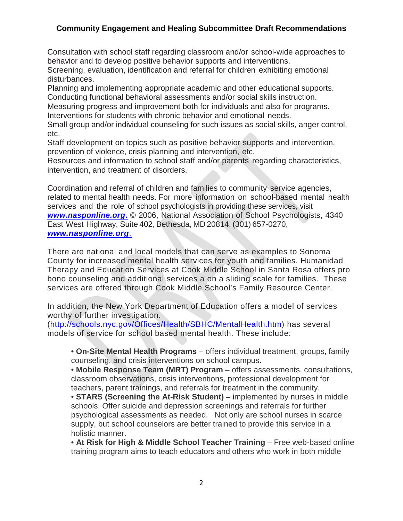Consultation with school staff regarding classroom and/or school-wide approaches to behavior and to develop positive behavior supports and interventions.

Screening, evaluation, identification and referral for children exhibiting emotional disturbances.

Planning and implementing appropriate academic and other educational supports. Conducting functional behavioral assessments and/or social skills instruction.

Measuring progress and improvement both for individuals and also for programs.

Interventions for students with chronic behavior and emotional needs.

Small group and/or individual counseling for such issues as social skills, anger control, etc.

Staff development on topics such as positive behavior supports and intervention, prevention of violence, crisis planning and intervention, etc.

Resources and information to school staff and/or parents regarding characteristics, intervention, and treatment of disorders.

Coordination and referral of children and families to community service agencies, related to mental health needs. For more information on school-based mental health services and the role of school psychologists in providing these services, visit *[www.nasponline.org](http://www.nasponline.org./)***.** © 2006, National Association of School Psychologists, 4340 East West Highway, Suite 402, Bethesda, MD 20814, (301) 657-0270, *[www.nasponline.org](http://www.nasponline.org./)*.

There are national and local models that can serve as examples to Sonoma County for increased mental health services for youth and families. Humanidad Therapy and Education Services at Cook Middle School in Santa Rosa offers pro bono counseling and additional services a on a sliding scale for families. These services are offered through Cook Middle School's Family Resource Center.

In addition, the New York Department of Education offers a model of services worthy of further investigation.

[\(http://schools.nyc.gov/Offices/Health/SBHC/MentalHealth.htm\)](http://schools.nyc.gov/Offices/Health/SBHC/MentalHealth.htm) has several models of service for school based mental health. These include:

• **On-Site Mental Health Programs** – offers individual treatment, groups, family counseling, and crisis interventions on school campus.

• **Mobile Response Team (MRT) Program** – offers assessments, consultations, classroom observations, crisis interventions, professional development for teachers, parent trainings, and referrals for treatment in the community.

• **STARS (Screening the At-Risk Student)** – implemented by nurses in middle schools. Offer suicide and depression screenings and referrals for further psychological assessments as needed. Not only are school nurses in scarce supply, but school counselors are better trained to provide this service in a holistic manner.

• **At Risk for High & Middle School Teacher Training** – Free web-based online training program aims to teach educators and others who work in both middle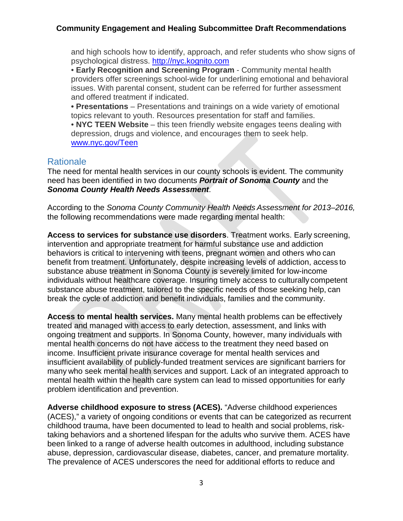and high schools how to identify, approach, and refer students who show signs of psychological distress. [http://nyc.kognito.com](http://nyc.kognito.com/)

• **Early Recognition and Screening Program** - Community mental health providers offer screenings school-wide for underlining emotional and behavioral issues. With parental consent, student can be referred for further assessment and offered treatment if indicated.

**• Presentations** – Presentations and trainings on a wide variety of emotional topics relevant to youth. Resources presentation for staff and families.

• **NYC TEEN Website** – this teen friendly website engages teens dealing with depression, drugs and violence, and encourages them to seek help. [www.nyc.gov/Teen](http://www.nyc.gov/Teen)

### **Rationale**

The need for mental health services in our county schools is evident. The community need has been identified in two documents *Portrait of Sonoma County* and the *Sonoma County Health Needs Assessment*.

According to the *Sonoma County Community Health Needs Assessment for 2013–2016,* the following recommendations were made regarding mental health:

**Access to services for substance use disorders**. Treatment works. Early screening, intervention and appropriate treatment for harmful substance use and addiction behaviors is critical to intervening with teens, pregnant women and others who can benefit from treatment. Unfortunately, despite increasing levels of addiction, access to substance abuse treatment in Sonoma County is severely limited for low-income individuals without healthcare coverage. Insuring timely access to culturally competent substance abuse treatment, tailored to the specific needs of those seeking help, can break the cycle of addiction and benefit individuals, families and the community.

**Access to mental health services.** Many mental health problems can be effectively treated and managed with access to early detection, assessment, and links with ongoing treatment and supports. In Sonoma County, however, many individuals with mental health concerns do not have access to the treatment they need based on income. Insufficient private insurance coverage for mental health services and insufficient availability of publicly-funded treatment services are significant barriers for many who seek mental health services and support. Lack of an integrated approach to mental health within the health care system can lead to missed opportunities for early problem identification and prevention.

**Adverse childhood exposure to stress (ACES).** "Adverse childhood experiences (ACES)," a variety of ongoing conditions or events that can be categorized as recurrent childhood trauma, have been documented to lead to health and social problems, risktaking behaviors and a shortened lifespan for the adults who survive them. ACES have been linked to a range of adverse health outcomes in adulthood, including substance abuse, depression, cardiovascular disease, diabetes, cancer, and premature mortality. The prevalence of ACES underscores the need for additional efforts to reduce and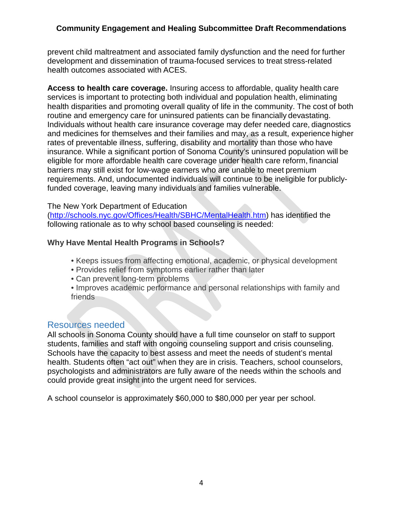prevent child maltreatment and associated family dysfunction and the need for further development and dissemination of trauma-focused services to treat stress-related health outcomes associated with ACES.

**Access to health care coverage.** Insuring access to affordable, quality health care services is important to protecting both individual and population health, eliminating health disparities and promoting overall quality of life in the community. The cost of both routine and emergency care for uninsured patients can be financially devastating. Individuals without health care insurance coverage may defer needed care, diagnostics and medicines for themselves and their families and may, as a result, experience higher rates of preventable illness, suffering, disability and mortality than those who have insurance. While a significant portion of Sonoma County's uninsured population will be eligible for more affordable health care coverage under health care reform, financial barriers may still exist for low-wage earners who are unable to meet premium requirements. And, undocumented individuals will continue to be ineligible for publiclyfunded coverage, leaving many individuals and families vulnerable.

#### The New York Department of Education

[\(http://schools.nyc.gov/Offices/Health/SBHC/MentalHealth.htm\)](http://schools.nyc.gov/Offices/Health/SBHC/MentalHealth.htm) has identified the following rationale as to why school based counseling is needed:

#### **Why Have Mental Health Programs in Schools?**

- Keeps issues from affecting emotional, academic, or physical development
- Provides relief from symptoms earlier rather than later
- Can prevent long-term problems
- Improves academic performance and personal relationships with family and friends

#### Resources needed

All schools in Sonoma County should have a full time counselor on staff to support students, families and staff with ongoing counseling support and crisis counseling. Schools have the capacity to best assess and meet the needs of student's mental health. Students often "act out" when they are in crisis. Teachers, school counselors, psychologists and administrators are fully aware of the needs within the schools and could provide great insight into the urgent need for services.

A school counselor is approximately \$60,000 to \$80,000 per year per school.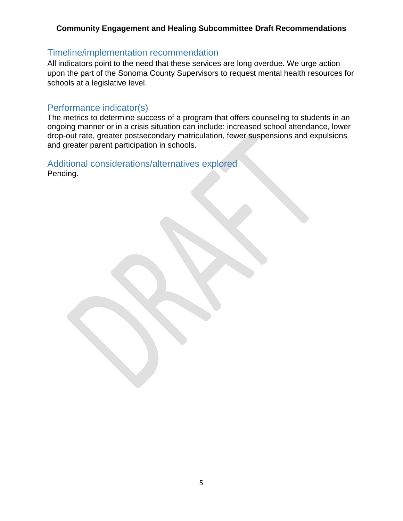### Timeline/implementation recommendation

All indicators point to the need that these services are long overdue. We urge action upon the part of the Sonoma County Supervisors to request mental health resources for schools at a legislative level.

### Performance indicator(s)

The metrics to determine success of a program that offers counseling to students in an ongoing manner or in a crisis situation can include: increased school attendance, lower drop-out rate, greater postsecondary matriculation, fewer suspensions and expulsions and greater parent participation in schools.

Additional considerations/alternatives explored Pending.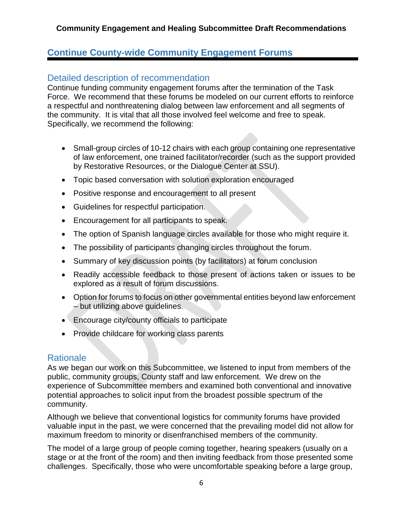### **Continue County-wide Community Engagement Forums**

### Detailed description of recommendation

Continue funding community engagement forums after the termination of the Task Force. We recommend that these forums be modeled on our current efforts to reinforce a respectful and nonthreatening dialog between law enforcement and all segments of the community. It is vital that all those involved feel welcome and free to speak. Specifically, we recommend the following:

- Small-group circles of 10-12 chairs with each group containing one representative of law enforcement, one trained facilitator/recorder (such as the support provided by Restorative Resources, or the Dialogue Center at SSU).
- Topic based conversation with solution exploration encouraged
- Positive response and encouragement to all present
- Guidelines for respectful participation.
- Encouragement for all participants to speak.
- The option of Spanish language circles available for those who might require it.
- The possibility of participants changing circles throughout the forum.
- Summary of key discussion points (by facilitators) at forum conclusion
- Readily accessible feedback to those present of actions taken or issues to be explored as a result of forum discussions.
- Option for forums to focus on other governmental entities beyond law enforcement – but utilizing above guidelines.
- Encourage city/county officials to participate
- Provide childcare for working class parents

### **Rationale**

As we began our work on this Subcommittee, we listened to input from members of the public, community groups, County staff and law enforcement. We drew on the experience of Subcommittee members and examined both conventional and innovative potential approaches to solicit input from the broadest possible spectrum of the community.

Although we believe that conventional logistics for community forums have provided valuable input in the past, we were concerned that the prevailing model did not allow for maximum freedom to minority or disenfranchised members of the community.

The model of a large group of people coming together, hearing speakers (usually on a stage or at the front of the room) and then inviting feedback from those presented some challenges. Specifically, those who were uncomfortable speaking before a large group,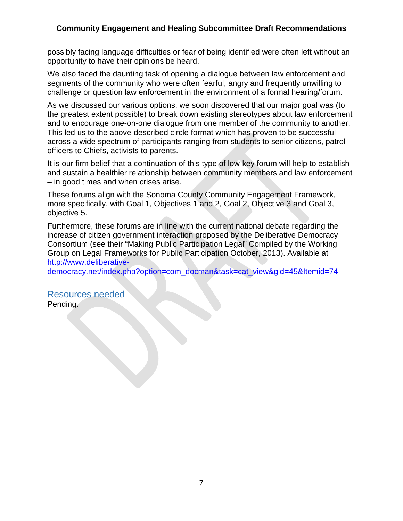possibly facing language difficulties or fear of being identified were often left without an opportunity to have their opinions be heard.

We also faced the daunting task of opening a dialogue between law enforcement and segments of the community who were often fearful, angry and frequently unwilling to challenge or question law enforcement in the environment of a formal hearing/forum.

As we discussed our various options, we soon discovered that our major goal was (to the greatest extent possible) to break down existing stereotypes about law enforcement and to encourage one-on-one dialogue from one member of the community to another. This led us to the above-described circle format which has proven to be successful across a wide spectrum of participants ranging from students to senior citizens, patrol officers to Chiefs, activists to parents.

It is our firm belief that a continuation of this type of low-key forum will help to establish and sustain a healthier relationship between community members and law enforcement – in good times and when crises arise.

These forums align with the Sonoma County Community Engagement Framework, more specifically, with Goal 1, Objectives 1 and 2, Goal 2, Objective 3 and Goal 3, objective 5.

Furthermore, these forums are in line with the current national debate regarding the increase of citizen government interaction proposed by the Deliberative Democracy Consortium (see their "Making Public Participation Legal" Compiled by the Working Group on Legal Frameworks for Public Participation October, 2013). Available at [http://www.deliberative-](http://www.deliberative-democracy.net/index.php?option=com_docman&task=cat_view&gid=45&Itemid=74)

[democracy.net/index.php?option=com\\_docman&task=cat\\_view&gid=45&Itemid=74](http://www.deliberative-democracy.net/index.php?option=com_docman&task=cat_view&gid=45&Itemid=74)

Resources needed Pending.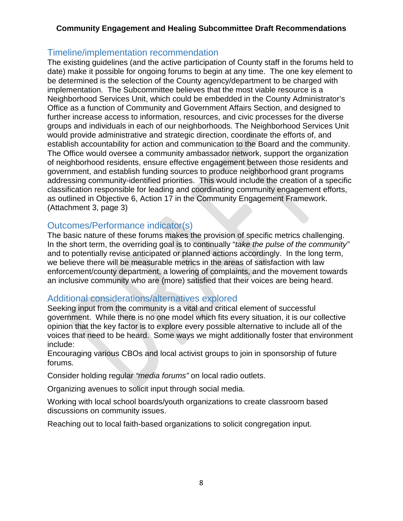### Timeline/implementation recommendation

The existing guidelines (and the active participation of County staff in the forums held to date) make it possible for ongoing forums to begin at any time. The one key element to be determined is the selection of the County agency/department to be charged with implementation. The Subcommittee believes that the most viable resource is a Neighborhood Services Unit, which could be embedded in the County Administrator's Office as a function of Community and Government Affairs Section, and designed to further increase access to information, resources, and civic processes for the diverse groups and individuals in each of our neighborhoods. The Neighborhood Services Unit would provide administrative and strategic direction, coordinate the efforts of, and establish accountability for action and communication to the Board and the community. The Office would oversee a community ambassador network, support the organization of neighborhood residents, ensure effective engagement between those residents and government, and establish funding sources to produce neighborhood grant programs addressing community-identified priorities. This would include the creation of a specific classification responsible for leading and coordinating community engagement efforts, as outlined in Objective 6, Action 17 in the Community Engagement Framework. (Attachment 3, page 3)

### Outcomes/Performance indicator(s)

The basic nature of these forums makes the provision of specific metrics challenging. In the short term, the overriding goal is to continually "*take the pulse of the community"* and to potentially revise anticipated or planned actions accordingly. In the long term, we believe there will be measurable metrics in the areas of satisfaction with law enforcement/county department, a lowering of complaints, and the movement towards an inclusive community who are (more) satisfied that their voices are being heard.

### Additional considerations/alternatives explored

Seeking input from the community is a vital and critical element of successful government. While there is no one model which fits every situation, it is our collective opinion that the key factor is to explore every possible alternative to include all of the voices that need to be heard. Some ways we might additionally foster that environment include:

Encouraging various CBOs and local activist groups to join in sponsorship of future forums.

Consider holding regular *"media forums"* on local radio outlets.

Organizing avenues to solicit input through social media.

Working with local school boards/youth organizations to create classroom based discussions on community issues.

Reaching out to local faith-based organizations to solicit congregation input.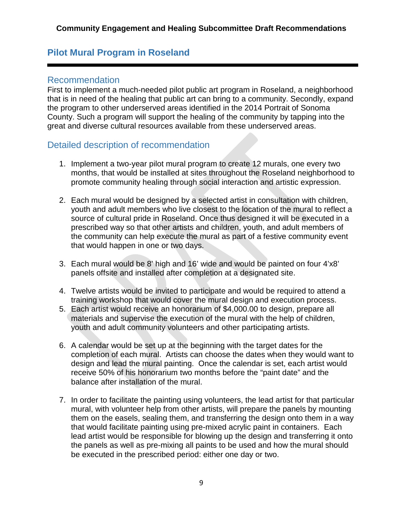### **Pilot Mural Program in Roseland**

### Recommendation

First to implement a much-needed pilot public art program in Roseland, a neighborhood that is in need of the healing that public art can bring to a community. Secondly, expand the program to other underserved areas identified in the 2014 Portrait of Sonoma County. Such a program will support the healing of the community by tapping into the great and diverse cultural resources available from these underserved areas.

### Detailed description of recommendation

- 1. Implement a two-year pilot mural program to create 12 murals, one every two months, that would be installed at sites throughout the Roseland neighborhood to promote community healing through social interaction and artistic expression.
- 2. Each mural would be designed by a selected artist in consultation with children, youth and adult members who live closest to the location of the mural to reflect a source of cultural pride in Roseland. Once thus designed it will be executed in a prescribed way so that other artists and children, youth, and adult members of the community can help execute the mural as part of a festive community event that would happen in one or two days.
- 3. Each mural would be 8' high and 16' wide and would be painted on four 4'x8' panels offsite and installed after completion at a designated site.
- 4. Twelve artists would be invited to participate and would be required to attend a training workshop that would cover the mural design and execution process.
- 5. Each artist would receive an honorarium of \$4,000.00 to design, prepare all materials and supervise the execution of the mural with the help of children, youth and adult community volunteers and other participating artists.
- 6. A calendar would be set up at the beginning with the target dates for the completion of each mural. Artists can choose the dates when they would want to design and lead the mural painting. Once the calendar is set, each artist would receive 50% of his honorarium two months before the "paint date" and the balance after installation of the mural.
- 7. In order to facilitate the painting using volunteers, the lead artist for that particular mural, with volunteer help from other artists, will prepare the panels by mounting them on the easels, sealing them, and transferring the design onto them in a way that would facilitate painting using pre-mixed acrylic paint in containers. Each lead artist would be responsible for blowing up the design and transferring it onto the panels as well as pre-mixing all paints to be used and how the mural should be executed in the prescribed period: either one day or two.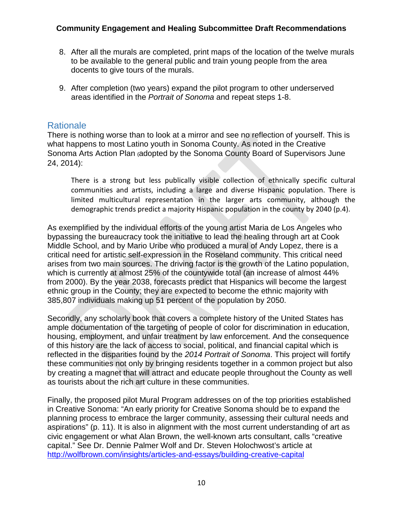- 8. After all the murals are completed, print maps of the location of the twelve murals to be available to the general public and train young people from the area docents to give tours of the murals.
- 9. After completion (two years) expand the pilot program to other underserved areas identified in the *Portrait of Sonoma* and repeat steps 1-8.

### **Rationale**

There is nothing worse than to look at a mirror and see no reflection of yourself. This is what happens to most Latino youth in Sonoma County. As noted in the Creative Sonoma Arts Action Plan **(**adopted by the Sonoma County Board of Supervisors June 24, 2014):

There is a strong but less publically visible collection of ethnically specific cultural communities and artists, including a large and diverse Hispanic population. There is limited multicultural representation in the larger arts community, although the demographic trends predict a majority Hispanic population in the county by 2040 (p.4).

As exemplified by the individual efforts of the young artist Maria de Los Angeles who bypassing the bureaucracy took the initiative to lead the healing through art at Cook Middle School, and by Mario Uribe who produced a mural of Andy Lopez, there is a critical need for artistic self-expression in the Roseland community. This critical need arises from two main sources. The driving factor is the growth of the Latino population, which is currently at almost 25% of the countywide total (an increase of almost 44% from 2000). By the year 2038, forecasts predict that Hispanics will become the largest ethnic group in the County; they are expected to become the ethnic majority with 385,807 individuals making up 51 percent of the population by 2050.

Secondly, any scholarly book that covers a complete history of the United States has ample documentation of the targeting of people of color for discrimination in education, housing, employment, and unfair treatment by law enforcement. And the consequence of this history are the lack of access to social, political, and financial capital which is reflected in the disparities found by the *2014 Portrait of Sonoma*. This project will fortify these communities not only by bringing residents together in a common project but also by creating a magnet that will attract and educate people throughout the County as well as tourists about the rich art culture in these communities.

Finally, the proposed pilot Mural Program addresses on of the top priorities established in Creative Sonoma: "An early priority for Creative Sonoma should be to expand the planning process to embrace the larger community, assessing their cultural needs and aspirations" (p. 11). It is also in alignment with the most current understanding of art as civic engagement or what Alan Brown, the well-known arts consultant, calls "creative capital." See Dr. Dennie Palmer Wolf and Dr. Steven Holochwost's article at <http://wolfbrown.com/insights/articles-and-essays/building-creative-capital>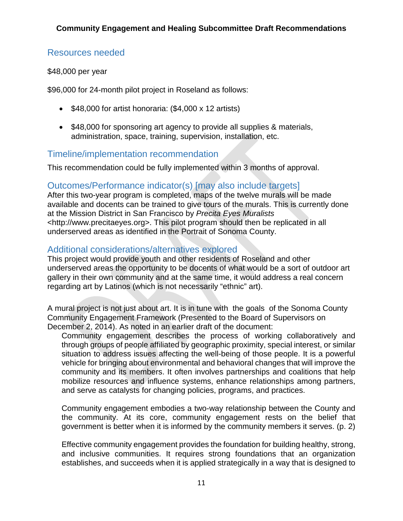### Resources needed

#### \$48,000 per year

\$96,000 for 24-month pilot project in Roseland as follows:

- \$48,000 for artist honoraria: (\$4,000 x 12 artists)
- \$48,000 for sponsoring art agency to provide all supplies & materials, administration, space, training, supervision, installation, etc.

### Timeline/implementation recommendation

This recommendation could be fully implemented within 3 months of approval.

### Outcomes/Performance indicator(s) [may also include targets]

After this two-year program is completed, maps of the twelve murals will be made available and docents can be trained to give tours of the murals. This is currently done at the Mission District in San Francisco by *Precita Eyes Muralists* <http://www.precitaeyes.org>. This pilot program should then be replicated in all underserved areas as identified in the Portrait of Sonoma County.

### Additional considerations/alternatives explored

This project would provide youth and other residents of Roseland and other underserved areas the opportunity to be docents of what would be a sort of outdoor art gallery in their own community and at the same time, it would address a real concern regarding art by Latinos (which is not necessarily "ethnic" art).

A mural project is not just about art. It is in tune with the goals of the Sonoma County Community Engagement Framework (Presented to the Board of Supervisors on December 2, 2014). As noted in an earlier draft of the document:

Community engagement describes the process of working collaboratively and through groups of people affiliated by geographic proximity, special interest, or similar situation to address issues affecting the well-being of those people. It is a powerful vehicle for bringing about environmental and behavioral changes that will improve the community and its members. It often involves partnerships and coalitions that help mobilize resources and influence systems, enhance relationships among partners, and serve as catalysts for changing policies, programs, and practices.

Community engagement embodies a two-way relationship between the County and the community. At its core, community engagement rests on the belief that government is better when it is informed by the community members it serves. (p. 2)

Effective community engagement provides the foundation for building healthy, strong, and inclusive communities. It requires strong foundations that an organization establishes, and succeeds when it is applied strategically in a way that is designed to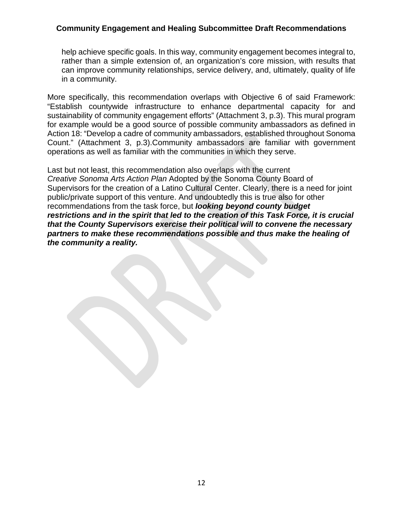help achieve specific goals. In this way, community engagement becomes integral to, rather than a simple extension of, an organization's core mission, with results that can improve community relationships, service delivery, and, ultimately, quality of life in a community.

More specifically, this recommendation overlaps with Objective 6 of said Framework: "Establish countywide infrastructure to enhance departmental capacity for and sustainability of community engagement efforts" (Attachment 3, p.3). This mural program for example would be a good source of possible community ambassadors as defined in Action 18: "Develop a cadre of community ambassadors, established throughout Sonoma Count." (Attachment 3, p.3).Community ambassadors are familiar with government operations as well as familiar with the communities in which they serve.

Last but not least, this recommendation also overlaps with the current *Creative Sonoma Arts Action Plan* Adopted by the Sonoma County Board of Supervisors for the creation of a Latino Cultural Center. Clearly, there is a need for joint public/private support of this venture. And undoubtedly this is true also for other recommendations from the task force, but *looking beyond county budget restrictions and in the spirit that led to the creation of this Task Force, it is crucial that the County Supervisors exercise their political will to convene the necessary partners to make these recommendations possible and thus make the healing of the community a reality.*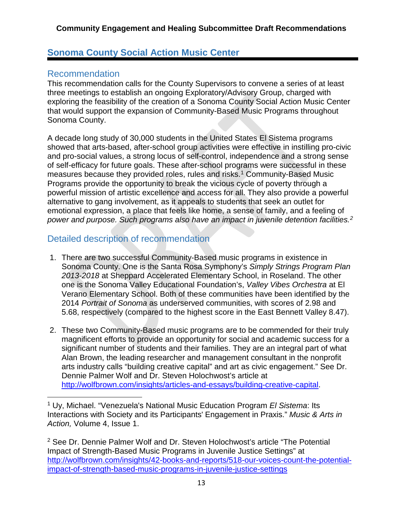### **Sonoma County Social Action Music Center**

### Recommendation

This recommendation calls for the County Supervisors to convene a series of at least three meetings to establish an ongoing Exploratory/Advisory Group, charged with exploring the feasibility of the creation of a Sonoma County Social Action Music Center that would support the expansion of Community-Based Music Programs throughout Sonoma County.

A decade long study of 30,000 students in the United States El Sistema programs showed that arts-based, after-school group activities were effective in instilling pro-civic and pro-social values, a strong locus of self-control, independence and a strong sense of self-efficacy for future goals. These after-school programs were successful in these measures because they provided roles, rules and risks.<sup>[1](#page-13-0)</sup> Community-Based Music Programs provide the opportunity to break the vicious cycle of poverty through a powerful mission of artistic excellence and access for all. They also provide a powerful alternative to gang involvement, as it appeals to students that seek an outlet for emotional expression, a place that feels like home, a sense of family, and a feeling of *power and purpose. Such programs also have an impact in juvenile detention facilities.[2](#page-13-1)*

### Detailed description of recommendation

- 1. There are two successful Community-Based music programs in existence in Sonoma County. One is the Santa Rosa Symphony's *Simply Strings Program Plan 2013-2018* at Sheppard Accelerated Elementary School, in Roseland. The other one is the Sonoma Valley Educational Foundation's, *Valley Vibes Orchestra* at El Verano Elementary School. Both of these communities have been identified by the 2014 *Portrait of Sonoma* as underserved communities, with scores of 2.98 and 5.68, respectively (compared to the highest score in the East Bennett Valley 8.47).
- 2. These two Community-Based music programs are to be commended for their truly magnificent efforts to provide an opportunity for social and academic success for a significant number of students and their families. They are an integral part of what Alan Brown, the leading researcher and management consultant in the nonprofit arts industry calls "building creative capital" and art as civic engagement." See Dr. Dennie Palmer Wolf and Dr. Steven Holochwost's article at [http://wolfbrown.com/insights/articles-and-essays/building-creative-capital.](http://wolfbrown.com/insights/articles-and-essays/building-creative-capital)

<span id="page-13-1"></span><sup>2</sup> See Dr. Dennie Palmer Wolf and Dr. Steven Holochwost's article "The Potential Impact of Strength-Based Music Programs in Juvenile Justice Settings" at [http://wolfbrown.com/insights/42-books-and-reports/518-our-voices-count-the-potential](http://wolfbrown.com/insights/42-books-and-reports/518-our-voices-count-the-potential-impact-of-strength-based-music-programs-in-juvenile-justice-settings)[impact-of-strength-based-music-programs-in-juvenile-justice-settings](http://wolfbrown.com/insights/42-books-and-reports/518-our-voices-count-the-potential-impact-of-strength-based-music-programs-in-juvenile-justice-settings)

<span id="page-13-0"></span><sup>1</sup> Uy, Michael. "Venezuela's National Music Education Program *El Sistema*: Its Interactions with Society and its Participants' Engagement in Praxis." *Music & Arts in Action,* Volume 4, Issue 1.  $\overline{a}$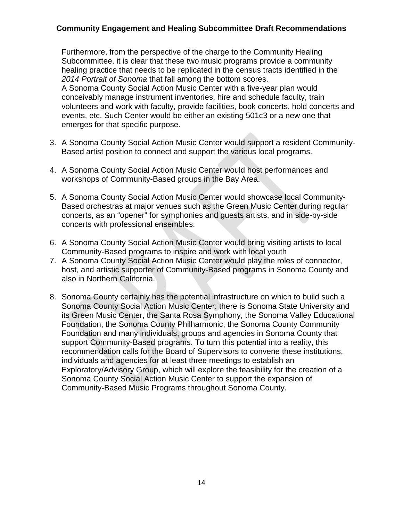Furthermore, from the perspective of the charge to the Community Healing Subcommittee, it is clear that these two music programs provide a community healing practice that needs to be replicated in the census tracts identified in the *2014 Portrait of Sonoma* that fall among the bottom scores.

A Sonoma County Social Action Music Center with a five-year plan would conceivably manage instrument inventories, hire and schedule faculty, train volunteers and work with faculty, provide facilities, book concerts, hold concerts and events, etc. Such Center would be either an existing 501c3 or a new one that emerges for that specific purpose.

- 3. A Sonoma County Social Action Music Center would support a resident Community-Based artist position to connect and support the various local programs.
- 4. A Sonoma County Social Action Music Center would host performances and workshops of Community-Based groups in the Bay Area.
- 5. A Sonoma County Social Action Music Center would showcase local Community-Based orchestras at major venues such as the Green Music Center during regular concerts, as an "opener" for symphonies and guests artists, and in side-by-side concerts with professional ensembles.
- 6. A Sonoma County Social Action Music Center would bring visiting artists to local Community-Based programs to inspire and work with local youth
- 7. A Sonoma County Social Action Music Center would play the roles of connector, host, and artistic supporter of Community-Based programs in Sonoma County and also in Northern California.
- 8. Sonoma County certainly has the potential infrastructure on which to build such a Sonoma County Social Action Music Center: there is Sonoma State University and its Green Music Center, the Santa Rosa Symphony, the Sonoma Valley Educational Foundation, the Sonoma County Philharmonic, the Sonoma County Community Foundation and many individuals, groups and agencies in Sonoma County that support Community-Based programs. To turn this potential into a reality, this recommendation calls for the Board of Supervisors to convene these institutions, individuals and agencies for at least three meetings to establish an Exploratory/Advisory Group, which will explore the feasibility for the creation of a Sonoma County Social Action Music Center to support the expansion of Community-Based Music Programs throughout Sonoma County.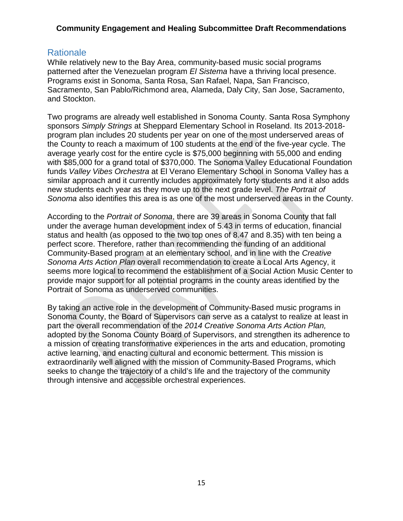### **Rationale**

While relatively new to the Bay Area, community-based music social programs patterned after the Venezuelan program *El Sistema* have a thriving local presence. Programs exist in Sonoma, Santa Rosa, San Rafael, Napa, San Francisco, Sacramento, San Pablo/Richmond area, Alameda, Daly City, San Jose, Sacramento, and Stockton.

Two programs are already well established in Sonoma County. Santa Rosa Symphony sponsors *Simply Strings* at Sheppard Elementary School in Roseland. Its 2013-2018 program plan includes 20 students per year on one of the most underserved areas of the County to reach a maximum of 100 students at the end of the five-year cycle. The average yearly cost for the entire cycle is \$75,000 beginning with 55,000 and ending with \$85,000 for a grand total of \$370,000. The Sonoma Valley Educational Foundation funds *Valley Vibes Orchestra* at El Verano Elementary School in Sonoma Valley has a similar approach and it currently includes approximately forty students and it also adds new students each year as they move up to the next grade level. *The Portrait of Sonoma* also identifies this area is as one of the most underserved areas in the County.

According to the *Portrait of Sonoma*, there are 39 areas in Sonoma County that fall under the average human development index of 5.43 in terms of education, financial status and health (as opposed to the two top ones of 8.47 and 8.35) with ten being a perfect score. Therefore, rather than recommending the funding of an additional Community-Based program at an elementary school, and in line with the *Creative Sonoma Arts Action Plan* overall recommendation to create a Local Arts Agency, it seems more logical to recommend the establishment of a Social Action Music Center to provide major support for all potential programs in the county areas identified by the Portrait of Sonoma as underserved communities.

By taking an active role in the development of Community-Based music programs in Sonoma County, the Board of Supervisors can serve as a catalyst to realize at least in part the overall recommendation of the *2014 Creative Sonoma Arts Action Plan,* adopted by the Sonoma County Board of Supervisors, and strengthen its adherence to a mission of creating transformative experiences in the arts and education, promoting active learning, and enacting cultural and economic betterment. This mission is extraordinarily well aligned with the mission of Community-Based Programs, which seeks to change the trajectory of a child's life and the trajectory of the community through intensive and accessible orchestral experiences.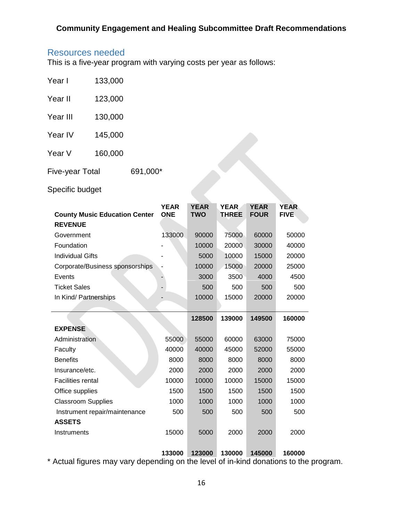### Resources needed

This is a five-year program with varying costs per year as follows:

| <b>Five-year Total</b> |         | 691,000* |
|------------------------|---------|----------|
| Year V                 | 160,000 |          |
| Year IV                | 145,000 |          |
| Year III               | 130,000 |          |
| Year II                | 123,000 |          |
| Year I                 | 133,000 |          |

### Specific budget

| 160,000<br>'ear V                                      |                           |                           |                             |                            |                            |
|--------------------------------------------------------|---------------------------|---------------------------|-----------------------------|----------------------------|----------------------------|
| 691,000*<br>ive-year Total                             |                           |                           |                             |                            |                            |
| pecific budget                                         |                           |                           |                             |                            |                            |
| <b>County Music Education Center</b><br><b>REVENUE</b> | <b>YEAR</b><br><b>ONE</b> | <b>YEAR</b><br><b>TWO</b> | <b>YEAR</b><br><b>THREE</b> | <b>YEAR</b><br><b>FOUR</b> | <b>YEAR</b><br><b>FIVE</b> |
| Government                                             | 133000                    | 90000                     | 75000                       | 60000                      | 50000                      |
| Foundation                                             |                           | 10000                     | 20000                       | 30000                      | 40000                      |
| <b>Individual Gifts</b>                                |                           | 5000                      | 10000                       | 15000                      | 20000                      |
| Corporate/Business sponsorships                        |                           | 10000                     | 15000                       | 20000                      | 25000                      |
| Events                                                 |                           | 3000                      | 3500                        | 4000                       | 4500                       |
| <b>Ticket Sales</b>                                    |                           | 500                       | 500                         | 500                        | 500                        |
| In Kind/ Partnerships                                  |                           | 10000                     | 15000                       | 20000                      | 20000                      |
|                                                        |                           |                           |                             |                            |                            |
|                                                        |                           |                           |                             |                            |                            |
|                                                        |                           | 128500                    | 139000                      | 149500                     | 160000                     |
| <b>EXPENSE</b>                                         |                           |                           |                             |                            |                            |
| Administration                                         | 55000                     | 55000                     | 60000                       | 63000                      | 75000                      |
| Faculty                                                | 40000                     | 40000                     | 45000                       | 52000                      | 55000                      |
| <b>Benefits</b>                                        | 8000                      | 8000                      | 8000                        | 8000                       | 8000                       |
| Insurance/etc.                                         | 2000                      | 2000                      | 2000                        | 2000                       | 2000                       |
| <b>Facilities rental</b>                               | 10000                     | 10000                     | 10000                       | 15000                      | 15000                      |
| Office supplies                                        | 1500                      | 1500                      | 1500                        | 1500                       | 1500                       |
| <b>Classroom Supplies</b>                              | 1000                      | 1000                      | 1000                        | 1000                       | 1000                       |
| Instrument repair/maintenance                          | 500                       | 500                       | 500                         | 500                        | 500                        |
| <b>ASSETS</b>                                          |                           |                           |                             |                            |                            |
| Instruments                                            | 15000                     | 5000                      | 2000                        | 2000                       | 2000                       |

\* Actual figures may vary depending on the level of in-kind donations to the program.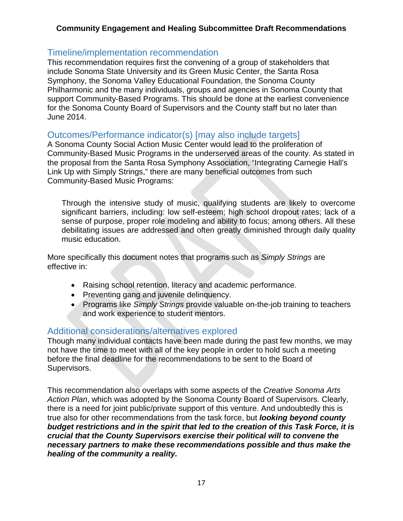### Timeline/implementation recommendation

This recommendation requires first the convening of a group of stakeholders that include Sonoma State University and its Green Music Center, the Santa Rosa Symphony, the Sonoma Valley Educational Foundation, the Sonoma County Philharmonic and the many individuals, groups and agencies in Sonoma County that support Community-Based Programs. This should be done at the earliest convenience for the Sonoma County Board of Supervisors and the County staff but no later than June 2014.

### Outcomes/Performance indicator(s) [may also include targets]

A Sonoma County Social Action Music Center would lead to the proliferation of Community-Based Music Programs in the underserved areas of the county. As stated in the proposal from the Santa Rosa Symphony Association, "Integrating Carnegie Hall's Link Up with Simply Strings," there are many beneficial outcomes from such Community-Based Music Programs:

Through the intensive study of music, qualifying students are likely to overcome significant barriers, including: low self-esteem; high school dropout rates; lack of a sense of purpose, proper role modeling and ability to focus; among others. All these debilitating issues are addressed and often greatly diminished through daily quality music education.

More specifically this document notes that programs such as *Simply Strings* are effective in:

- Raising school retention, literacy and academic performance.
- Preventing gang and juvenile delinguency.
- Programs like *Simply Strings* provide valuable on-the-job training to teachers and work experience to student mentors.

### Additional considerations/alternatives explored

Though many individual contacts have been made during the past few months, we may not have the time to meet with all of the key people in order to hold such a meeting before the final deadline for the recommendations to be sent to the Board of Supervisors.

This recommendation also overlaps with some aspects of the *Creative Sonoma Arts Action Plan*, which was adopted by the Sonoma County Board of Supervisors. Clearly, there is a need for joint public/private support of this venture. And undoubtedly this is true also for other recommendations from the task force, but *looking beyond county budget restrictions and in the spirit that led to the creation of this Task Force, it is crucial that the County Supervisors exercise their political will to convene the necessary partners to make these recommendations possible and thus make the healing of the community a reality.*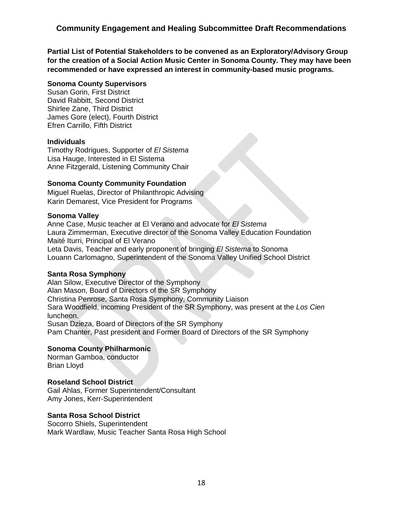**Partial List of Potential Stakeholders to be convened as an Exploratory/Advisory Group for the creation of a Social Action Music Center in Sonoma County. They may have been recommended or have expressed an interest in community-based music programs.**

#### **Sonoma County Supervisors**

Susan Gorin, First District David Rabbitt, Second District Shirlee Zane, Third District James Gore (elect), Fourth District Efren Carrillo, Fifth District

#### **Individuals**

Timothy Rodrigues, Supporter of *El Sistema* Lisa Hauge, Interested in El Sistema Anne Fitzgerald, Listening Community Chair

#### **Sonoma County Community Foundation**

Miguel Ruelas, Director of Philanthropic Advising Karin Demarest, Vice President for Programs

#### **Sonoma Valley**

Anne Case, Music teacher at El Verano and advocate for *El Sistema* Laura Zimmerman, Executive director of the Sonoma Valley Education Foundation Maité Iturri, Principal of El Verano Leta Davis, Teacher and early proponent of bringing *El Sistema* to Sonoma Louann Carlomagno, Superintendent of the Sonoma Valley Unified School District

#### **Santa Rosa Symphony**

Alan Silow, Executive Director of the Symphony Alan Mason, Board of Directors of the SR Symphony Christina Penrose, Santa Rosa Symphony, Community Liaison Sara Woodfield, incoming President of the SR Symphony, was present at the *Los Cien* luncheon. Susan Dzieza, Board of Directors of the SR Symphony Pam Chanter, Past president and Former Board of Directors of the SR Symphony

#### **Sonoma County Philharmonic**

Norman Gamboa, conductor Brian Lloyd

#### **Roseland School District**

Gail Ahlas, Former Superintendent/Consultant Amy Jones, Kerr-Superintendent

#### **Santa Rosa School District**

Socorro Shiels, Superintendent Mark Wardlaw, Music Teacher Santa Rosa High School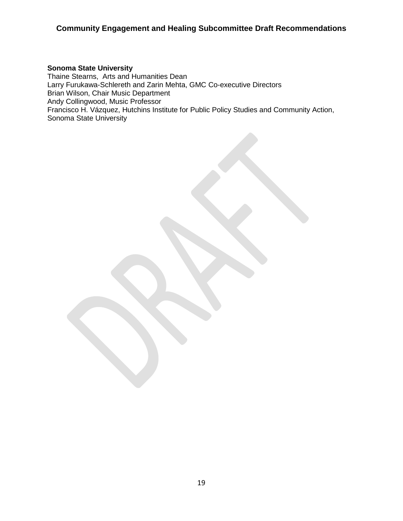#### **Sonoma State University**

Thaine Stearns, Arts and Humanities Dean Larry Furukawa-Schlereth and Zarin Mehta, GMC Co-executive Directors Brian Wilson, Chair Music Department Andy Collingwood, Music Professor Francisco H. Vázquez, Hutchins Institute for Public Policy Studies and Community Action, Sonoma State University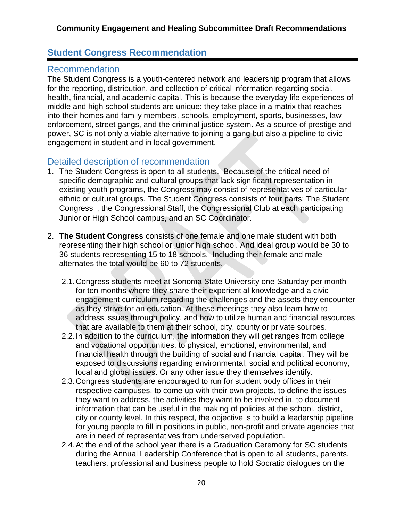### **Student Congress Recommendation**

### Recommendation

The Student Congress is a youth-centered network and leadership program that allows for the reporting, distribution, and collection of critical information regarding social, health, financial, and academic capital. This is because the everyday life experiences of middle and high school students are unique: they take place in a matrix that reaches into their homes and family members, schools, employment, sports, businesses, law enforcement, street gangs, and the criminal justice system. As a source of prestige and power, SC is not only a viable alternative to joining a gang but also a pipeline to civic engagement in student and in local government.

### Detailed description of recommendation

- 1. The Student Congress is open to all students. Because of the critical need of specific demographic and cultural groups that lack significant representation in existing youth programs, the Congress may consist of representatives of particular ethnic or cultural groups. The Student Congress consists of four parts: The Student Congress , the Congressional Staff, the Congressional Club at each participating Junior or High School campus, and an SC Coordinator.
- 2. **The Student Congress** consists of one female and one male student with both representing their high school or junior high school. And ideal group would be 30 to 36 students representing 15 to 18 schools. Including their female and male alternates the total would be 60 to 72 students.
	- 2.1.Congress students meet at Sonoma State University one Saturday per month for ten months where they share their experiential knowledge and a civic engagement curriculum regarding the challenges and the assets they encounter as they strive for an education. At these meetings they also learn how to address issues through policy, and how to utilize human and financial resources that are available to them at their school, city, county or private sources.
	- 2.2.In addition to the curriculum, the information they will get ranges from college and vocational opportunities, to physical, emotional, environmental, and financial health through the building of social and financial capital. They will be exposed to discussions regarding environmental, social and political economy, local and global issues. Or any other issue they themselves identify.
	- 2.3.Congress students are encouraged to run for student body offices in their respective campuses, to come up with their own projects, to define the issues they want to address, the activities they want to be involved in, to document information that can be useful in the making of policies at the school, district, city or county level. In this respect, the objective is to build a leadership pipeline for young people to fill in positions in public, non-profit and private agencies that are in need of representatives from underserved population.
	- 2.4.At the end of the school year there is a Graduation Ceremony for SC students during the Annual Leadership Conference that is open to all students, parents, teachers, professional and business people to hold Socratic dialogues on the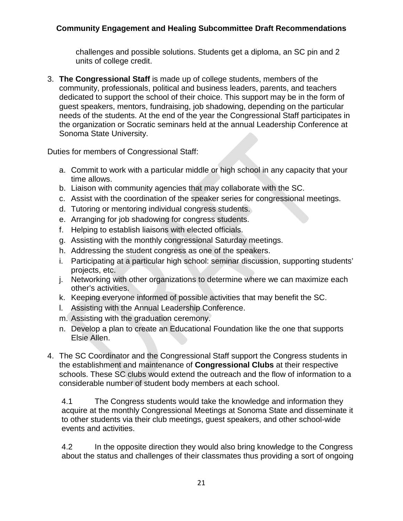challenges and possible solutions. Students get a diploma, an SC pin and 2 units of college credit.

3. **The Congressional Staff** is made up of college students, members of the community, professionals, political and business leaders, parents, and teachers dedicated to support the school of their choice. This support may be in the form of guest speakers, mentors, fundraising, job shadowing, depending on the particular needs of the students. At the end of the year the Congressional Staff participates in the organization or Socratic seminars held at the annual Leadership Conference at Sonoma State University.

Duties for members of Congressional Staff:

- a. Commit to work with a particular middle or high school in any capacity that your time allows.
- b. Liaison with community agencies that may collaborate with the SC.
- c. Assist with the coordination of the speaker series for congressional meetings.
- d. Tutoring or mentoring individual congress students.
- e. Arranging for job shadowing for congress students.
- f. Helping to establish liaisons with elected officials.
- g. Assisting with the monthly congressional Saturday meetings.
- h. Addressing the student congress as one of the speakers.
- i. Participating at a particular high school: seminar discussion, supporting students' projects, etc.
- j. Networking with other organizations to determine where we can maximize each other's activities.
- k. Keeping everyone informed of possible activities that may benefit the SC.
- l. Assisting with the Annual Leadership Conference.
- m. Assisting with the graduation ceremony.
- n. Develop a plan to create an Educational Foundation like the one that supports Elsie Allen.
- 4. The SC Coordinator and the Congressional Staff support the Congress students in the establishment and maintenance of **Congressional Clubs** at their respective schools. These SC clubs would extend the outreach and the flow of information to a considerable number of student body members at each school.

4.1 The Congress students would take the knowledge and information they acquire at the monthly Congressional Meetings at Sonoma State and disseminate it to other students via their club meetings, guest speakers, and other school-wide events and activities.

4.2 In the opposite direction they would also bring knowledge to the Congress about the status and challenges of their classmates thus providing a sort of ongoing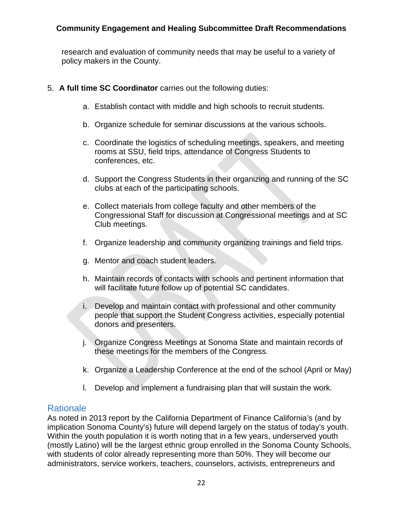research and evaluation of community needs that may be useful to a variety of policy makers in the County.

- 5. **A full time SC Coordinator** carries out the following duties:
	- a. Establish contact with middle and high schools to recruit students.
	- b. Organize schedule for seminar discussions at the various schools.
	- c. Coordinate the logistics of scheduling meetings, speakers, and meeting rooms at SSU, field trips, attendance of Congress Students to conferences, etc.
	- d. Support the Congress Students in their organizing and running of the SC clubs at each of the participating schools.
	- e. Collect materials from college faculty and other members of the Congressional Staff for discussion at Congressional meetings and at SC Club meetings.
	- f. Organize leadership and community organizing trainings and field trips.
	- g. Mentor and coach student leaders.
	- h. Maintain records of contacts with schools and pertinent information that will facilitate future follow up of potential SC candidates.
	- i. Develop and maintain contact with professional and other community people that support the Student Congress activities, especially potential donors and presenters.
	- j. Organize Congress Meetings at Sonoma State and maintain records of these meetings for the members of the Congress.
	- k. Organize a Leadership Conference at the end of the school (April or May)
	- l. Develop and implement a fundraising plan that will sustain the work.

### **Rationale**

As noted in 2013 report by the California Department of Finance California's (and by implication Sonoma County's) future will depend largely on the status of today's youth. Within the youth population it is worth noting that in a few years, underserved youth (mostly Latino) will be the largest ethnic group enrolled in the Sonoma County Schools, with students of color already representing more than 50%. They will become our administrators, service workers, teachers, counselors, activists, entrepreneurs and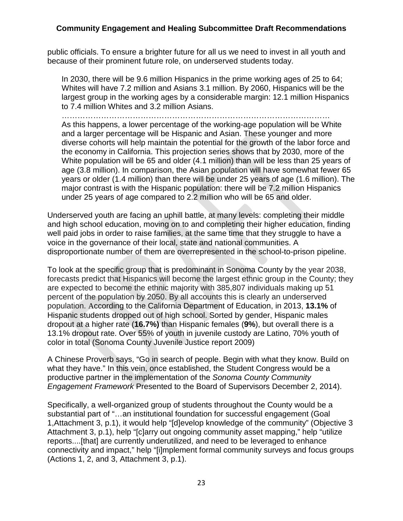public officials. To ensure a brighter future for all us we need to invest in all youth and because of their prominent future role, on underserved students today.

In 2030, there will be 9.6 million Hispanics in the prime working ages of 25 to 64; Whites will have 7.2 million and Asians 3.1 million. By 2060, Hispanics will be the largest group in the working ages by a considerable margin: 12.1 million Hispanics to 7.4 million Whites and 3.2 million Asians.

…………………………………………………………………………………………

As this happens, a lower percentage of the working-age population will be White and a larger percentage will be Hispanic and Asian. These younger and more diverse cohorts will help maintain the potential for the growth of the labor force and the economy in California. This projection series shows that by 2030, more of the White population will be 65 and older (4.1 million) than will be less than 25 years of age (3.8 million). In comparison, the Asian population will have somewhat fewer 65 years or older (1.4 million) than there will be under 25 years of age (1.6 million). The major contrast is with the Hispanic population: there will be 7.2 million Hispanics under 25 years of age compared to 2.2 million who will be 65 and older.

Underserved youth are facing an uphill battle, at many levels: completing their middle and high school education, moving on to and completing their higher education, finding well paid jobs in order to raise families, at the same time that they struggle to have a voice in the governance of their local, state and national communities. A disproportionate number of them are overrepresented in the school-to-prison pipeline.

To look at the specific group that is predominant in Sonoma County by the year 2038, forecasts predict that Hispanics will become the largest ethnic group in the County; they are expected to become the ethnic majority with 385,807 individuals making up 51 percent of the population by 2050. By all accounts this is clearly an underserved population. According to the California Department of Education, in 2013, **13.1%** of Hispanic students dropped out of high school. Sorted by gender, Hispanic males dropout at a higher rate (**16.7%)** than Hispanic females (**9%**), but overall there is a 13.1% dropout rate. Over 55% of youth in juvenile custody are Latino, 70% youth of color in total (Sonoma County Juvenile Justice report 2009)

A Chinese Proverb says, "Go in search of people. Begin with what they know. Build on what they have." In this vein, once established, the Student Congress would be a productive partner in the implementation of the *Sonoma County Community Engagement Framework* Presented to the Board of Supervisors December 2, 2014).

Specifically, a well-organized group of students throughout the County would be a substantial part of "…an institutional foundation for successful engagement (Goal 1,Attachment 3, p.1), it would help "[d]evelop knowledge of the community" (Objective 3 Attachment 3, p.1), help "[c]arry out ongoing community asset mapping," help "utilize reports....[that] are currently underutilized, and need to be leveraged to enhance connectivity and impact," help "[i]mplement formal community surveys and focus groups (Actions 1, 2, and 3, Attachment 3, p.1).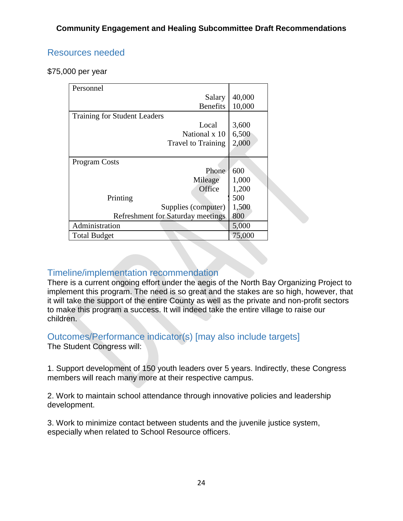### Resources needed

\$75,000 per year

| Personnel                                |        |
|------------------------------------------|--------|
| Salary                                   | 40,000 |
| <b>Benefits</b>                          | 10,000 |
| <b>Training for Student Leaders</b>      |        |
| Local                                    | 3,600  |
| National x 10                            | 6,500  |
| <b>Travel to Training</b>                | 2,000  |
|                                          |        |
| <b>Program Costs</b>                     |        |
| Phone                                    | 600    |
| Mileage                                  | 1,000  |
| Office                                   | 1,200  |
| Printing                                 | 500    |
| Supplies (computer)                      | 1,500  |
| <b>Refreshment for Saturday meetings</b> | 800    |
| Administration                           | 5,000  |
| <b>Total Budget</b>                      | 75,000 |

### Timeline/implementation recommendation

There is a current ongoing effort under the aegis of the North Bay Organizing Project to implement this program. The need is so great and the stakes are so high, however, that it will take the support of the entire County as well as the private and non-profit sectors to make this program a success. It will indeed take the entire village to raise our children.

#### Outcomes/Performance indicator(s) [may also include targets] The Student Congress will:

1. Support development of 150 youth leaders over 5 years. Indirectly, these Congress members will reach many more at their respective campus.

2. Work to maintain school attendance through innovative policies and leadership development.

3. Work to minimize contact between students and the juvenile justice system, especially when related to School Resource officers.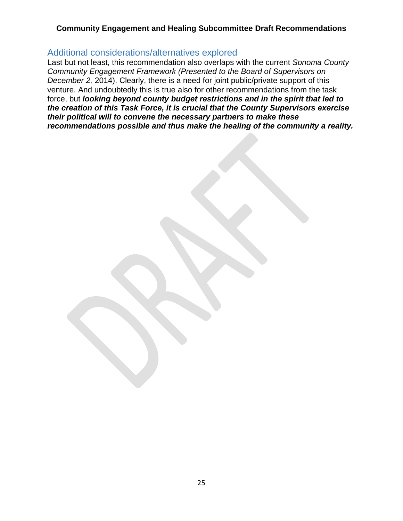#### Additional considerations/alternatives explored

Last but not least, this recommendation also overlaps with the current *Sonoma County Community Engagement Framework (Presented to the Board of Supervisors on December 2,* 2014). Clearly, there is a need for joint public/private support of this venture. And undoubtedly this is true also for other recommendations from the task force, but *looking beyond county budget restrictions and in the spirit that led to the creation of this Task Force, it is crucial that the County Supervisors exercise their political will to convene the necessary partners to make these recommendations possible and thus make the healing of the community a reality.*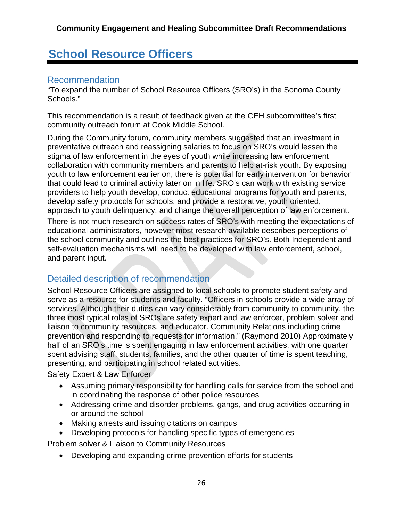# **School Resource Officers**

### Recommendation

"To expand the number of School Resource Officers (SRO's) in the Sonoma County Schools."

This recommendation is a result of feedback given at the CEH subcommittee's first community outreach forum at Cook Middle School.

During the Community forum, community members suggested that an investment in preventative outreach and reassigning salaries to focus on SRO's would lessen the stigma of law enforcement in the eyes of youth while increasing law enforcement collaboration with community members and parents to help at-risk youth. By exposing youth to law enforcement earlier on, there is potential for early intervention for behavior that could lead to criminal activity later on in life. SRO's can work with existing service providers to help youth develop, conduct educational programs for youth and parents, develop safety protocols for schools, and provide a restorative, youth oriented, approach to youth delinquency, and change the overall perception of law enforcement.

There is not much research on success rates of SRO's with meeting the expectations of educational administrators, however most research available describes perceptions of the school community and outlines the best practices for SRO's. Both Independent and self-evaluation mechanisms will need to be developed with law enforcement, school, and parent input.

## Detailed description of recommendation

School Resource Officers are assigned to local schools to promote student safety and serve as a resource for students and faculty. "Officers in schools provide a wide array of services. Although their duties can vary considerably from community to community, the three most typical roles of SROs are safety expert and law enforcer, problem solver and liaison to community resources, and educator. Community Relations including crime prevention and responding to requests for information." (Raymond 2010) Approximately half of an SRO's time is spent engaging in law enforcement activities, with one quarter spent advising staff, students, families, and the other quarter of time is spent teaching, presenting, and participating in school related activities.

Safety Expert & Law Enforcer

- Assuming primary responsibility for handling calls for service from the school and in coordinating the response of other police resources
- Addressing crime and disorder problems, gangs, and drug activities occurring in or around the school
- Making arrests and issuing citations on campus
- Developing protocols for handling specific types of emergencies

Problem solver & Liaison to Community Resources

• Developing and expanding crime prevention efforts for students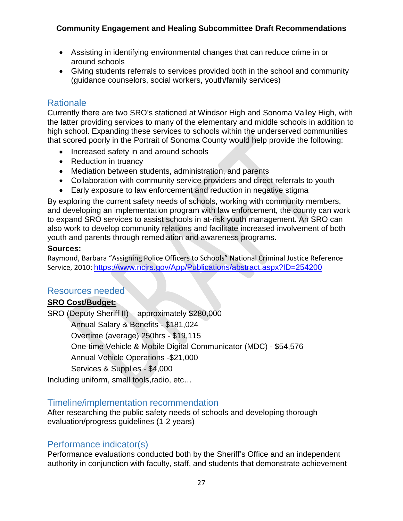- Assisting in identifying environmental changes that can reduce crime in or around schools
- Giving students referrals to services provided both in the school and community (guidance counselors, social workers, youth/family services)

### Rationale

Currently there are two SRO's stationed at Windsor High and Sonoma Valley High, with the latter providing services to many of the elementary and middle schools in addition to high school. Expanding these services to schools within the underserved communities that scored poorly in the Portrait of Sonoma County would help provide the following:

- Increased safety in and around schools
- Reduction in truancy
- Mediation between students, administration, and parents
- Collaboration with community service providers and direct referrals to youth
- Early exposure to law enforcement and reduction in negative stigma

By exploring the current safety needs of schools, working with community members, and developing an implementation program with law enforcement, the county can work to expand SRO services to assist schools in at-risk youth management. An SRO can also work to develop community relations and facilitate increased involvement of both youth and parents through remediation and awareness programs.

#### **Sources:**

Raymond, Barbara "Assigning Police Officers to Schools" National Criminal Justice Reference Service, 2010: <https://www.ncjrs.gov/App/Publications/abstract.aspx?ID=254200>

### Resources needed

#### **SRO Cost/Budget:**

SRO (Deputy Sheriff II) – approximately \$280,000

Annual Salary & Benefits - \$181,024

Overtime (average) 250hrs - \$19,115

One-time Vehicle & Mobile Digital Communicator (MDC) - \$54,576

Annual Vehicle Operations -\$21,000

Services & Supplies - \$4,000

Including uniform, small tools,radio, etc…

### Timeline/implementation recommendation

After researching the public safety needs of schools and developing thorough evaluation/progress guidelines (1-2 years)

### Performance indicator(s)

Performance evaluations conducted both by the Sheriff's Office and an independent authority in conjunction with faculty, staff, and students that demonstrate achievement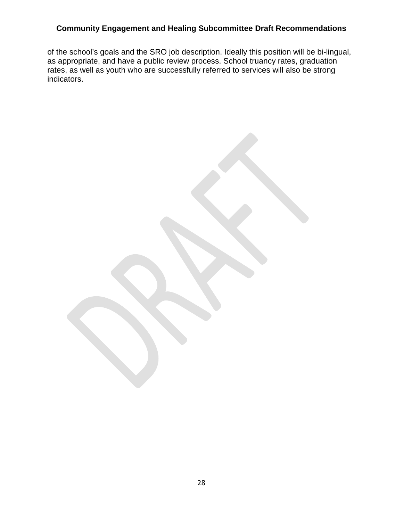of the school's goals and the SRO job description. Ideally this position will be bi-lingual, as appropriate, and have a public review process. School truancy rates, graduation rates, as well as youth who are successfully referred to services will also be strong indicators.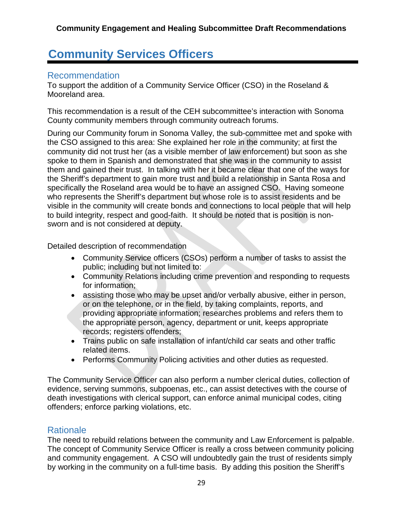# **Community Services Officers**

### Recommendation

To support the addition of a Community Service Officer (CSO) in the Roseland & Mooreland area.

This recommendation is a result of the CEH subcommittee's interaction with Sonoma County community members through community outreach forums.

During our Community forum in Sonoma Valley, the sub-committee met and spoke with the CSO assigned to this area: She explained her role in the community; at first the community did not trust her (as a visible member of law enforcement) but soon as she spoke to them in Spanish and demonstrated that she was in the community to assist them and gained their trust. In talking with her it became clear that one of the ways for the Sheriff's department to gain more trust and build a relationship in Santa Rosa and specifically the Roseland area would be to have an assigned CSO. Having someone who represents the Sheriff's department but whose role is to assist residents and be visible in the community will create bonds and connections to local people that will help to build integrity, respect and good-faith. It should be noted that is position is nonsworn and is not considered at deputy.

Detailed description of recommendation

- Community Service officers (CSOs) perform a number of tasks to assist the public; including but not limited to:
- Community Relations including crime prevention and responding to requests for information;
- assisting those who may be upset and/or verbally abusive, either in person, or on the telephone, or in the field, by taking complaints, reports, and providing appropriate information; researches problems and refers them to the appropriate person, agency, department or unit, keeps appropriate records; registers offenders;
- Trains public on safe installation of infant/child car seats and other traffic related items.
- Performs Community Policing activities and other duties as requested.

The Community Service Officer can also perform a number clerical duties, collection of evidence, serving summons, subpoenas, etc., can assist detectives with the course of death investigations with clerical support, can enforce animal municipal codes, citing offenders; enforce parking violations, etc.

### **Rationale**

The need to rebuild relations between the community and Law Enforcement is palpable. The concept of Community Service Officer is really a cross between community policing and community engagement. A CSO will undoubtedly gain the trust of residents simply by working in the community on a full-time basis. By adding this position the Sheriff's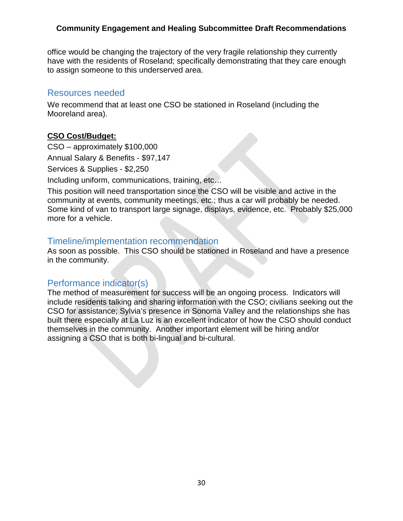office would be changing the trajectory of the very fragile relationship they currently have with the residents of Roseland; specifically demonstrating that they care enough to assign someone to this underserved area.

### Resources needed

We recommend that at least one CSO be stationed in Roseland (including the Mooreland area).

#### **CSO Cost/Budget:**

CSO – approximately \$100,000

Annual Salary & Benefits - \$97,147

Services & Supplies - \$2,250

Including uniform, communications, training, etc…

This position will need transportation since the CSO will be visible and active in the community at events, community meetings, etc.; thus a car will probably be needed. Some kind of van to transport large signage, displays, evidence, etc. Probably \$25,000 more for a vehicle.

### Timeline/implementation recommendation

As soon as possible. This CSO should be stationed in Roseland and have a presence in the community.

### Performance indicator(s)

The method of measurement for success will be an ongoing process. Indicators will include residents talking and sharing information with the CSO; civilians seeking out the CSO for assistance; Sylvia's presence in Sonoma Valley and the relationships she has built there especially at La Luz is an excellent indicator of how the CSO should conduct themselves in the community. Another important element will be hiring and/or assigning a CSO that is both bi-lingual and bi-cultural.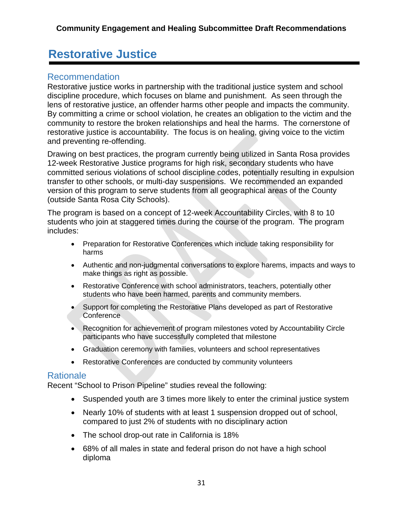# **Restorative Justice**

### Recommendation

Restorative justice works in partnership with the traditional justice system and school discipline procedure, which focuses on blame and punishment. As seen through the lens of restorative justice, an offender harms other people and impacts the community. By committing a crime or school violation, he creates an obligation to the victim and the community to restore the broken relationships and heal the harms. The cornerstone of restorative justice is accountability. The focus is on healing, giving voice to the victim and preventing re-offending.

Drawing on best practices, the program currently being utilized in Santa Rosa provides 12-week Restorative Justice programs for high risk, secondary students who have committed serious violations of school discipline codes, potentially resulting in expulsion transfer to other schools, or multi-day suspensions. We recommended an expanded version of this program to serve students from all geographical areas of the County (outside Santa Rosa City Schools).

The program is based on a concept of 12-week Accountability Circles, with 8 to 10 students who join at staggered times during the course of the program. The program includes:

- Preparation for Restorative Conferences which include taking responsibility for harms
- Authentic and non-judgmental conversations to explore harems, impacts and ways to make things as right as possible.
- Restorative Conference with school administrators, teachers, potentially other students who have been harmed, parents and community members.
- Support for completing the Restorative Plans developed as part of Restorative Conference
- Recognition for achievement of program milestones voted by Accountability Circle participants who have successfully completed that milestone
- Graduation ceremony with families, volunteers and school representatives
- Restorative Conferences are conducted by community volunteers

### Rationale

Recent "School to Prison Pipeline" studies reveal the following:

- Suspended youth are 3 times more likely to enter the criminal justice system
- Nearly 10% of students with at least 1 suspension dropped out of school, compared to just 2% of students with no disciplinary action
- The school drop-out rate in California is 18%
- 68% of all males in state and federal prison do not have a high school diploma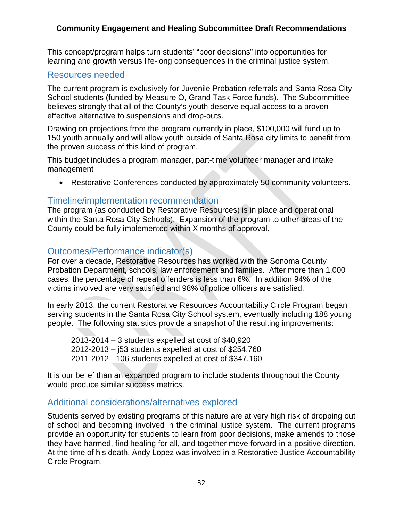This concept/program helps turn students' "poor decisions" into opportunities for learning and growth versus life-long consequences in the criminal justice system.

#### Resources needed

The current program is exclusively for Juvenile Probation referrals and Santa Rosa City School students (funded by Measure O, Grand Task Force funds). The Subcommittee believes strongly that all of the County's youth deserve equal access to a proven effective alternative to suspensions and drop-outs.

Drawing on projections from the program currently in place, \$100,000 will fund up to 150 youth annually and will allow youth outside of Santa Rosa city limits to benefit from the proven success of this kind of program.

This budget includes a program manager, part-time volunteer manager and intake management

• Restorative Conferences conducted by approximately 50 community volunteers.

### Timeline/implementation recommendation

The program (as conducted by Restorative Resources) is in place and operational within the Santa Rosa City Schools). Expansion of the program to other areas of the County could be fully implemented within X months of approval.

### Outcomes/Performance indicator(s)

For over a decade, Restorative Resources has worked with the Sonoma County Probation Department, schools, law enforcement and families. After more than 1,000 cases, the percentage of repeat offenders is less than 6%. In addition 94% of the victims involved are very satisfied and 98% of police officers are satisfied.

In early 2013, the current Restorative Resources Accountability Circle Program began serving students in the Santa Rosa City School system, eventually including 188 young people. The following statistics provide a snapshot of the resulting improvements:

2013-2014 – 3 students expelled at cost of \$40,920 2012-2013 – j53 students expelled at cost of \$254,760 2011-2012 - 106 students expelled at cost of \$347,160

It is our belief than an expanded program to include students throughout the County would produce similar success metrics.

### Additional considerations/alternatives explored

Students served by existing programs of this nature are at very high risk of dropping out of school and becoming involved in the criminal justice system. The current programs provide an opportunity for students to learn from poor decisions, make amends to those they have harmed, find healing for all, and together move forward in a positive direction. At the time of his death, Andy Lopez was involved in a Restorative Justice Accountability Circle Program.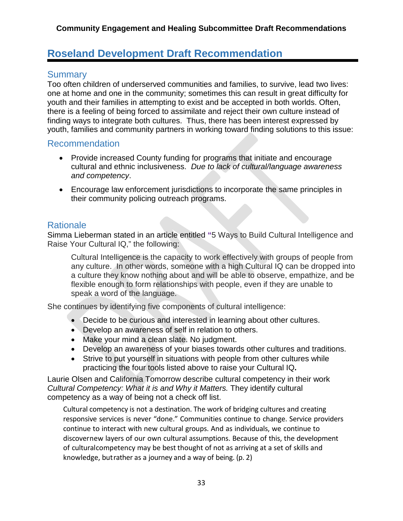# **Roseland Development Draft Recommendation**

### **Summary**

Too often children of underserved communities and families, to survive, lead two lives: one at home and one in the community; sometimes this can result in great difficulty for youth and their families in attempting to exist and be accepted in both worlds. Often, there is a feeling of being forced to assimilate and reject their own culture instead of finding ways to integrate both cultures. Thus, there has been interest expressed by youth, families and community partners in working toward finding solutions to this issue:

### Recommendation

- Provide increased County funding for programs that initiate and encourage cultural and ethnic inclusiveness. *Due to lack of cultural/language awareness and competency*.
- Encourage law enforcement jurisdictions to incorporate the same principles in their community policing outreach programs.

### **Rationale**

Simma Lieberman stated in an article entitled **"**5 Ways to Build Cultural Intelligence and Raise Your Cultural IQ," the following:

Cultural Intelligence is the capacity to work effectively with groups of people from any culture. In other words, someone with a high Cultural IQ can be dropped into a culture they know nothing about and will be able to observe, empathize, and be flexible enough to form relationships with people, even if they are unable to speak a word of the language.

She continues by identifying five components of cultural intelligence:

- Decide to be curious and interested in learning about other cultures.
- Develop an awareness of self in relation to others.
- Make your mind a clean slate. No judgment.
- Develop an awareness of your biases towards other cultures and traditions.
- Strive to put yourself in situations with people from other cultures while practicing the four tools listed above to raise your Cultural IQ**.**

Laurie Olsen and California Tomorrow describe cultural competency in their work *Cultural Competency: What it is and Why it Matters.* They identify cultural competency as a way of being not a check off list.

Cultural competency is not a destination. The work of bridging cultures and creating responsive services is never "done." Communities continue to change. Service providers continue to interact with new cultural groups. And as individuals, we continue to discovernew layers of our own cultural assumptions. Because of this, the development of culturalcompetency may be best thought of not as arriving at a set of skills and knowledge, butrather as a journey and a way of being. (p. 2)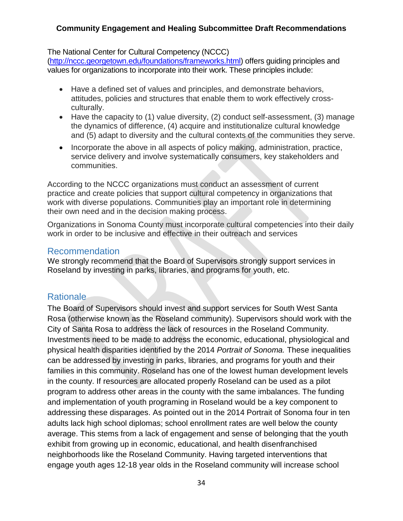#### The National Center for Cultural Competency (NCCC)

[\(http://nccc.georgetown.edu/foundations/frameworks.html\)](http://nccc.georgetown.edu/foundations/frameworks.html) offers guiding principles and values for organizations to incorporate into their work. These principles include:

- Have a defined set of values and principles, and demonstrate behaviors, attitudes, policies and structures that enable them to work effectively crossculturally.
- Have the capacity to (1) value diversity, (2) conduct self-assessment, (3) manage the dynamics of difference, (4) acquire and institutionalize cultural knowledge and (5) adapt to diversity and the cultural contexts of the communities they serve.
- Incorporate the above in all aspects of policy making, administration, practice, service delivery and involve systematically consumers, key stakeholders and communities.

According to the NCCC organizations must conduct an assessment of current practice and create policies that support cultural competency in organizations that work with diverse populations. Communities play an important role in determining their own need and in the decision making process.

Organizations in Sonoma County must incorporate cultural competencies into their daily work in order to be inclusive and effective in their outreach and services

#### Recommendation

We strongly recommend that the Board of Supervisors strongly support services in Roseland by investing in parks, libraries, and programs for youth, etc.

### Rationale

The Board of Supervisors should invest and support services for South West Santa Rosa (otherwise known as the Roseland community). Supervisors should work with the City of Santa Rosa to address the lack of resources in the Roseland Community. Investments need to be made to address the economic, educational, physiological and physical health disparities identified by the 2014 *Portrait of Sonoma.* These inequalities can be addressed by investing in parks, libraries, and programs for youth and their families in this community. Roseland has one of the lowest human development levels in the county. If resources are allocated properly Roseland can be used as a pilot program to address other areas in the county with the same imbalances. The funding and implementation of youth programing in Roseland would be a key component to addressing these disparages. As pointed out in the 2014 Portrait of Sonoma four in ten adults lack high school diplomas; school enrollment rates are well below the county average. This stems from a lack of engagement and sense of belonging that the youth exhibit from growing up in economic, educational, and health disenfranchised neighborhoods like the Roseland Community. Having targeted interventions that engage youth ages 12-18 year olds in the Roseland community will increase school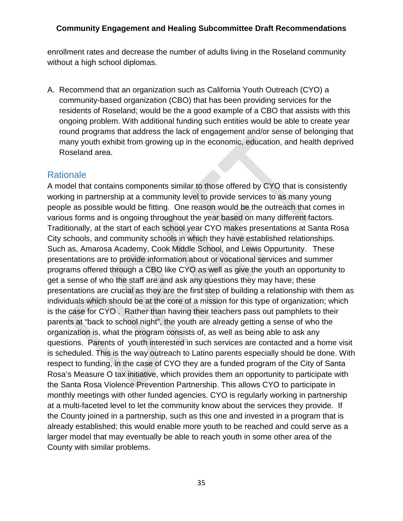enrollment rates and decrease the number of adults living in the Roseland community without a high school diplomas.

A. Recommend that an organization such as California Youth Outreach (CYO) a community-based organization (CBO) that has been providing services for the residents of Roseland; would be the a good example of a CBO that assists with this ongoing problem. With additional funding such entities would be able to create year round programs that address the lack of engagement and/or sense of belonging that many youth exhibit from growing up in the economic, education, and health deprived Roseland area.

### **Rationale**

A model that contains components similar to those offered by CYO that is consistently working in partnership at a community level to provide services to as many young people as possible would be fitting. One reason would be the outreach that comes in various forms and is ongoing throughout the year based on many different factors. Traditionally, at the start of each school year CYO makes presentations at Santa Rosa City schools, and community schools in which they have established relationships. Such as, Amarosa Academy, Cook Middle School, and Lewis Oppurtunity. These presentations are to provide information about or vocational services and summer programs offered through a CBO like CYO as well as give the youth an opportunity to get a sense of who the staff are and ask any questions they may have; these presentations are crucial as they are the first step of building a relationship with them as individuals which should be at the core of a mission for this type of organization; which is the case for CYO . Rather than having their teachers pass out pamphlets to their parents at "back to school night", the youth are already getting a sense of who the organization is, what the program consists of, as well as being able to ask any questions. Parents of youth interested in such services are contacted and a home visit is scheduled. This is the way outreach to Latino parents especially should be done. With respect to funding, in the case of CYO they are a funded program of the City of Santa Rosa's Measure O tax initiative, which provides them an opportunity to participate with the Santa Rosa Violence Prevention Partnership. This allows CYO to participate in monthly meetings with other funded agencies. CYO is regularly working in partnership at a multi-faceted level to let the community know about the services they provide. If the County joined in a partnership, such as this one and invested in a program that is already established; this would enable more youth to be reached and could serve as a larger model that may eventually be able to reach youth in some other area of the County with similar problems.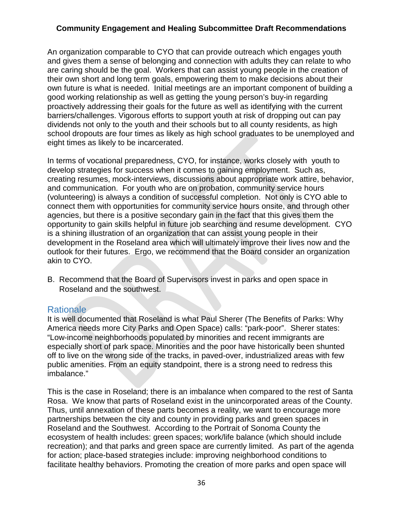An organization comparable to CYO that can provide outreach which engages youth and gives them a sense of belonging and connection with adults they can relate to who are caring should be the goal. Workers that can assist young people in the creation of their own short and long term goals, empowering them to make decisions about their own future is what is needed. Initial meetings are an important component of building a good working relationship as well as getting the young person's buy-in regarding proactively addressing their goals for the future as well as identifying with the current barriers/challenges. Vigorous efforts to support youth at risk of dropping out can pay dividends not only to the youth and their schools but to all county residents, as high school dropouts are four times as likely as high school graduates to be unemployed and eight times as likely to be incarcerated.

In terms of vocational preparedness, CYO, for instance, works closely with youth to develop strategies for success when it comes to gaining employment. Such as, creating resumes, mock-interviews, discussions about appropriate work attire, behavior, and communication. For youth who are on probation, community service hours (volunteering) is always a condition of successful completion. Not only is CYO able to connect them with opportunities for community service hours onsite, and through other agencies, but there is a positive secondary gain in the fact that this gives them the opportunity to gain skills helpful in future job searching and resume development. CYO is a shining illustration of an organization that can assist young people in their development in the Roseland area which will ultimately improve their lives now and the outlook for their futures. Ergo, we recommend that the Board consider an organization akin to CYO.

B. Recommend that the Board of Supervisors invest in parks and open space in Roseland and the southwest.

#### Rationale

It is well documented that Roseland is what Paul Sherer (The Benefits of Parks: Why America needs more City Parks and Open Space) calls: "park-poor". Sherer states: "Low-income neighborhoods populated by minorities and recent immigrants are especially short of park space. Minorities and the poor have historically been shunted off to live on the wrong side of the tracks, in paved-over, industrialized areas with few public amenities. From an equity standpoint, there is a strong need to redress this imbalance."

This is the case in Roseland; there is an imbalance when compared to the rest of Santa Rosa. We know that parts of Roseland exist in the unincorporated areas of the County. Thus, until annexation of these parts becomes a reality, we want to encourage more partnerships between the city and county in providing parks and green spaces in Roseland and the Southwest. According to the Portrait of Sonoma County the ecosystem of health includes: green spaces; work/life balance (which should include recreation); and that parks and green space are currently limited. As part of the agenda for action; place-based strategies include: improving neighborhood conditions to facilitate healthy behaviors. Promoting the creation of more parks and open space will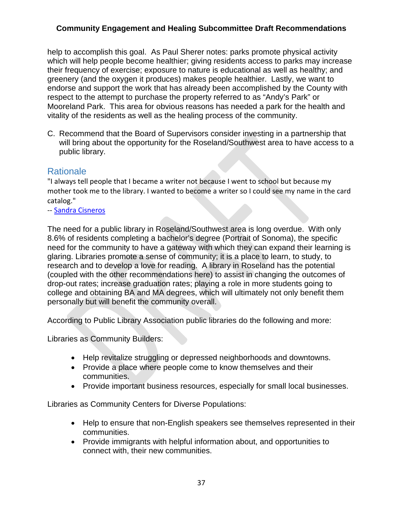help to accomplish this goal. As Paul Sherer notes: parks promote physical activity which will help people become healthier; giving residents access to parks may increase their frequency of exercise; exposure to nature is educational as well as healthy; and greenery (and the oxygen it produces) makes people healthier. Lastly, we want to endorse and support the work that has already been accomplished by the County with respect to the attempt to purchase the property referred to as "Andy's Park" or Mooreland Park. This area for obvious reasons has needed a park for the health and vitality of the residents as well as the healing process of the community.

C. Recommend that the Board of Supervisors consider investing in a partnership that will bring about the opportunity for the Roseland/Southwest area to have access to a public library.

### **Rationale**

"I always tell people that I became a writer not because I went to school but because my mother took me to the library. I wanted to become a writer so I could see my name in the card catalog."

-- [Sandra Cisneros](https://www.facebook.com/sandracisnerosauthor)

The need for a public library in Roseland/Southwest area is long overdue. With only 8.6% of residents completing a bachelor's degree (Portrait of Sonoma), the specific need for the community to have a gateway with which they can expand their learning is glaring. Libraries promote a sense of community; it is a place to learn, to study, to research and to develop a love for reading. A library in Roseland has the potential (coupled with the other recommendations here) to assist in changing the outcomes of drop-out rates; increase graduation rates; playing a role in more students going to college and obtaining BA and MA degrees, which will ultimately not only benefit them personally but will benefit the community overall.

According to Public Library Association public libraries do the following and more:

Libraries as Community Builders:

- Help revitalize struggling or depressed neighborhoods and downtowns.
- Provide a place where people come to know themselves and their communities.
- Provide important business resources, especially for small local businesses.

Libraries as Community Centers for Diverse Populations:

- Help to ensure that non-English speakers see themselves represented in their communities.
- Provide immigrants with helpful information about, and opportunities to connect with, their new communities.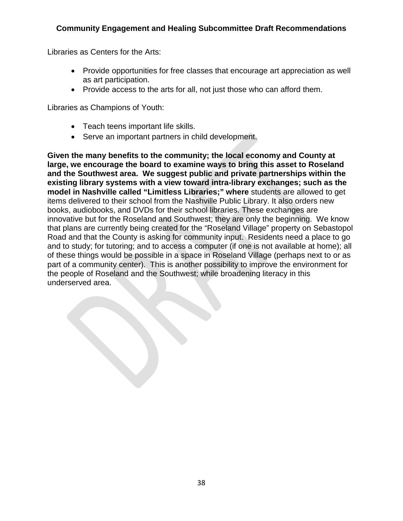Libraries as Centers for the Arts:

- Provide opportunities for free classes that encourage art appreciation as well as art participation.
- Provide access to the arts for all, not just those who can afford them.

Libraries as Champions of Youth:

- Teach teens important life skills.
- Serve an important partners in child development.

**Given the many benefits to the community; the local economy and County at large, we encourage the board to examine ways to bring this asset to Roseland and the Southwest area. We suggest public and private partnerships within the existing library systems with a view toward intra-library exchanges; such as the model in Nashville called "Limitless Libraries;" where** students are allowed to get items delivered to their school from the Nashville Public Library. It also orders new books, audiobooks, and DVDs for their school libraries. These exchanges are innovative but for the Roseland and Southwest; they are only the beginning. We know that plans are currently being created for the "Roseland Village" property on Sebastopol Road and that the County is asking for community input. Residents need a place to go and to study; for tutoring; and to access a computer (if one is not available at home); all of these things would be possible in a space in Roseland Village (perhaps next to or as part of a community center). This is another possibility to improve the environment for the people of Roseland and the Southwest; while broadening literacy in this underserved area.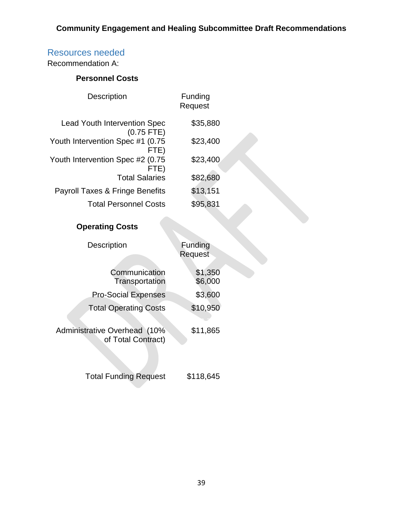## Resources needed

Recommendation A:

### **Personnel Costs**

| <b>Description</b>                                  | Funding<br>Request |  |
|-----------------------------------------------------|--------------------|--|
| <b>Lead Youth Intervention Spec</b><br>$(0.75$ FTE) | \$35,880           |  |
| Youth Intervention Spec #1 (0.75<br>FTE)            | \$23,400           |  |
| Youth Intervention Spec #2 (0.75<br>FTE)            | \$23,400           |  |
| <b>Total Salaries</b>                               | \$82,680           |  |
| <b>Payroll Taxes &amp; Fringe Benefits</b>          | \$13,151           |  |
| <b>Total Personnel Costs</b>                        | \$95,831           |  |
|                                                     |                    |  |

## **Operating Costs**

| <b>Description</b>                                        | Funding<br>Request |
|-----------------------------------------------------------|--------------------|
| Communication<br>Transportation                           | \$1,350<br>\$6,000 |
| <b>Pro-Social Expenses</b>                                | \$3,600            |
| <b>Total Operating Costs</b>                              | \$10,950           |
| <b>Administrative Overhead (10%</b><br>of Total Contract) | \$11,865           |
| <b>Total Funding Request</b>                              | \$118,645          |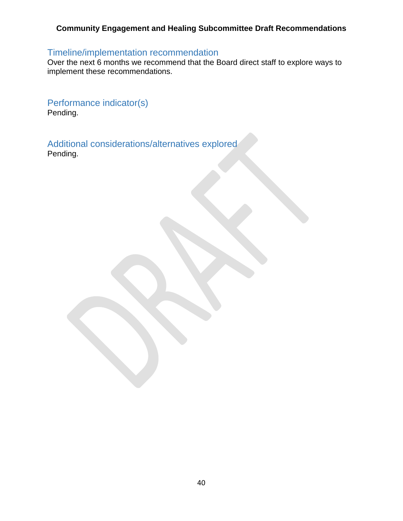## Timeline/implementation recommendation

Over the next 6 months we recommend that the Board direct staff to explore ways to implement these recommendations.

Performance indicator(s) Pending.

Additional considerations/alternatives explored Pending.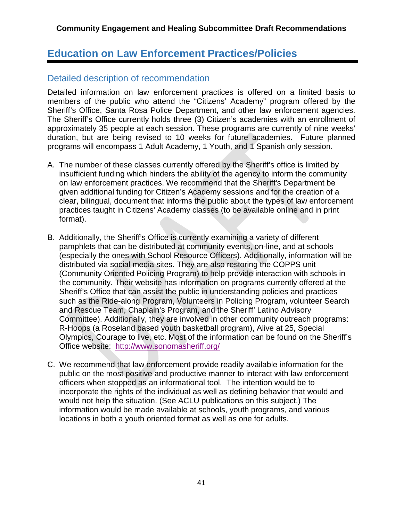# **Education on Law Enforcement Practices/Policies**

### Detailed description of recommendation

Detailed information on law enforcement practices is offered on a limited basis to members of the public who attend the "Citizens' Academy" program offered by the Sheriff's Office, Santa Rosa Police Department, and other law enforcement agencies. The Sheriff's Office currently holds three (3) Citizen's academies with an enrollment of approximately 35 people at each session. These programs are currently of nine weeks' duration, but are being revised to 10 weeks for future academies. Future planned programs will encompass 1 Adult Academy, 1 Youth, and 1 Spanish only session.

- A. The number of these classes currently offered by the Sheriff's office is limited by insufficient funding which hinders the ability of the agency to inform the community on law enforcement practices. We recommend that the Sheriff's Department be given additional funding for Citizen's Academy sessions and for the creation of a clear, bilingual, document that informs the public about the types of law enforcement practices taught in Citizens' Academy classes (to be available online and in print format).
- B. Additionally, the Sheriff's Office is currently examining a variety of different pamphlets that can be distributed at community events, on-line, and at schools (especially the ones with School Resource Officers). Additionally, information will be distributed via social media sites. They are also restoring the COPPS unit (Community Oriented Policing Program) to help provide interaction with schools in the community. Their website has information on programs currently offered at the Sheriff's Office that can assist the public in understanding policies and practices such as the Ride-along Program, Volunteers in Policing Program, volunteer Search and Rescue Team, Chaplain's Program, and the Sheriff' Latino Advisory Committee). Additionally, they are involved in other community outreach programs: R-Hoops (a Roseland based youth basketball program), Alive at 25, Special Olympics, Courage to live, etc. Most of the information can be found on the Sheriff's Office website: <http://www.sonomasheriff.org/>
- C. We recommend that law enforcement provide readily available information for the public on the most positive and productive manner to interact with law enforcement officers when stopped as an informational tool. The intention would be to incorporate the rights of the individual as well as defining behavior that would and would not help the situation. (See ACLU publications on this subject.) The information would be made available at schools, youth programs, and various locations in both a youth oriented format as well as one for adults.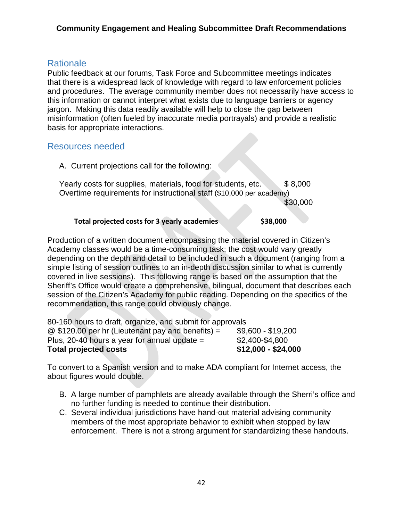### **Rationale**

Public feedback at our forums, Task Force and Subcommittee meetings indicates that there is a widespread lack of knowledge with regard to law enforcement policies and procedures. The average community member does not necessarily have access to this information or cannot interpret what exists due to language barriers or agency jargon. Making this data readily available will help to close the gap between misinformation (often fueled by inaccurate media portrayals) and provide a realistic basis for appropriate interactions.

### Resources needed

A. Current projections call for the following:

Yearly costs for supplies, materials, food for students, etc. \$8,000 Overtime requirements for instructional staff (\$10,000 per academy)  $$30,000$ 

#### **Total projected costs for 3 yearly academies \$38,000**

Production of a written document encompassing the material covered in Citizen's Academy classes would be a time-consuming task; the cost would vary greatly depending on the depth and detail to be included in such a document (ranging from a simple listing of session outlines to an in-depth discussion similar to what is currently covered in live sessions). This following range is based on the assumption that the Sheriff's Office would create a comprehensive, bilingual, document that describes each session of the Citizen's Academy for public reading. Depending on the specifics of the recommendation, this range could obviously change.

| <b>Total projected costs</b>                              | $$12,000 - $24,000$ |
|-----------------------------------------------------------|---------------------|
| Plus, 20-40 hours a year for annual update $=$            | \$2,400-\$4,800     |
| $@$ \$120.00 per hr (Lieutenant pay and benefits) =       | \$9,600 - \$19,200  |
| 80-160 hours to draft, organize, and submit for approvals |                     |

To convert to a Spanish version and to make ADA compliant for Internet access, the about figures would double.

- B. A large number of pamphlets are already available through the Sherri's office and no further funding is needed to continue their distribution.
- C. Several individual jurisdictions have hand-out material advising community members of the most appropriate behavior to exhibit when stopped by law enforcement. There is not a strong argument for standardizing these handouts.